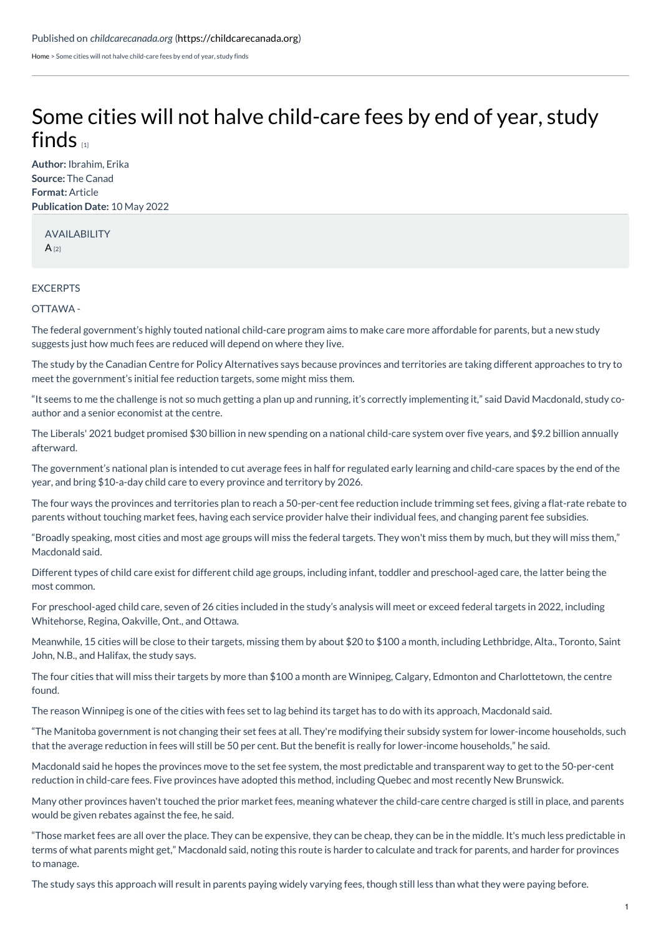[Home](https://childcarecanada.org/) > Some cities will not halve child-care fees by end of year, study finds

## Some cities will not halve [child-care](https://childcarecanada.org/documents/child-care-news/22/05/some-cities-will-not-halve-child-care-fees-end-year-study-finds) fees by end of year, study finds  $\mathbb{I}$

**Author:** Ibrahim, Erika **Source:** The Canad **Format:** Article **Publication Date:** 10 May 2022

AVAILABILITY  $A_{[2]}$  $A_{[2]}$ 

## **EXCERPTS**

## OTTAWA -

The federal government's highly touted national child-care program aims to make care more affordable for parents, but a new study suggests just how much fees are reduced will depend on where they live.

The study by the Canadian Centre for Policy Alternatives says because provinces and territories are taking different approaches to try to meet the government's initial fee reduction targets, some might miss them.

"It seems to me the challenge is not so much getting a plan up and running, it's correctly implementing it," said David Macdonald, study coauthor and a senior economist at the centre.

The Liberals' 2021 budget promised \$30 billion in new spending on a national child-care system over five years, and \$9.2 billion annually afterward.

The government's national plan is intended to cut average fees in half for regulated early learning and child-care spaces by the end of the year, and bring \$10-a-day child care to every province and territory by 2026.

The four ways the provinces and territories plan to reach a 50-per-cent fee reduction include trimming set fees, giving a flat-rate rebate to parents without touching market fees, having each service provider halve their individual fees, and changing parent fee subsidies.

"Broadly speaking, most cities and most age groups will miss the federal targets. They won't miss them by much, but they will miss them," Macdonald said.

Different types of child care exist for different child age groups, including infant, toddler and preschool-aged care, the latter being the most common.

For preschool-aged child care, seven of 26 cities included in the study's analysis will meet or exceed federal targets in 2022, including Whitehorse, Regina, Oakville, Ont., and Ottawa.

Meanwhile, 15 cities will be close to their targets, missing them by about \$20 to \$100 a month, including Lethbridge, Alta., Toronto, Saint John, N.B., and Halifax, the study says.

The four cities that will miss their targets by more than \$100 a month are Winnipeg, Calgary, Edmonton and Charlottetown, the centre found.

The reason Winnipeg is one of the cities with fees set to lag behind its target has to do with its approach, Macdonald said.

"The Manitoba government is not changing their set fees at all. They're modifying their subsidy system for lower-income households, such that the average reduction in fees will still be 50 per cent. But the benefit is really for lower-income households," he said.

Macdonald said he hopes the provinces move to the set fee system, the most predictable and transparent way to get to the 50-per-cent reduction in child-care fees. Five provinces have adopted this method, including Quebec and most recently New Brunswick.

Many other provinces haven't touched the prior market fees, meaning whatever the child-care centre charged is still in place, and parents would be given rebates against the fee, he said.

"Those market fees are all over the place. They can be expensive, they can be cheap, they can be in the middle. It's much less predictable in terms of what parents might get," Macdonald said, noting this route is harder to calculate and track for parents, and harder for provinces to manage.

The study says this approach will result in parents paying widely varying fees, though still less than what they were paying before.